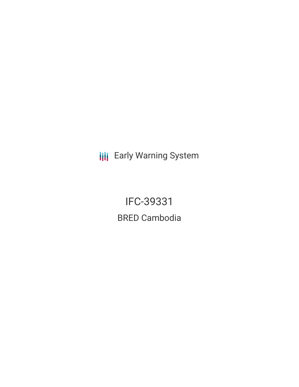**III** Early Warning System

IFC-39331 BRED Cambodia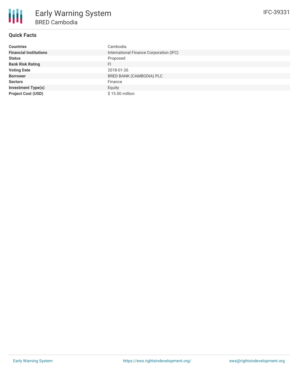

# **Quick Facts**

| <b>Countries</b>              | Cambodia                                |
|-------------------------------|-----------------------------------------|
| <b>Financial Institutions</b> | International Finance Corporation (IFC) |
| <b>Status</b>                 | Proposed                                |
| <b>Bank Risk Rating</b>       | <b>FI</b>                               |
| <b>Voting Date</b>            | 2018-01-26                              |
| <b>Borrower</b>               | BRED BANK (CAMBODIA) PLC                |
| <b>Sectors</b>                | Finance                                 |
| <b>Investment Type(s)</b>     | Equity                                  |
| <b>Project Cost (USD)</b>     | \$15.00 million                         |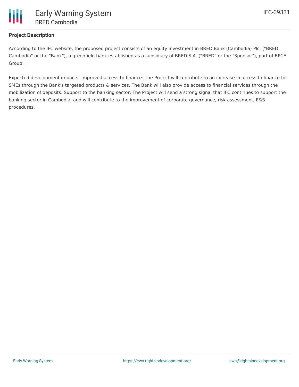

## **Project Description**

According to the IFC website, the proposed project consists of an equity investment in BRED Bank (Cambodia) Plc. ("BRED Cambodia" or the "Bank"), a greenfield bank established as a subsidiary of BRED S.A. ("BRED" or the "Sponsor"), part of BPCE Group.

Expected development impacts: Improved access to finance: The Project will contribute to an increase in access to finance for SMEs through the Bank's targeted products & services. The Bank will also provide access to financial services through the mobilization of deposits. Support to the banking sector: The Project will send a strong signal that IFC continues to support the banking sector in Cambodia, and will contribute to the improvement of corporate governance, risk assessment, E&S procedures.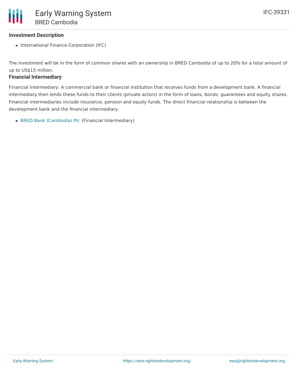The investment will be in the form of common shares with an ownership in BRED Cambodia of up to 20% for a total amount of up to US\$15 million.

### **Financial Intermediary**

Financial Intermediary: A commercial bank or financial institution that receives funds from a development bank. A financial intermediary then lends these funds to their clients (private actors) in the form of loans, bonds, guarantees and equity shares. Financial intermediaries include insurance, pension and equity funds. The direct financial relationship is between the development bank and the financial intermediary.

BRED Bank [\(Cambodia\)](file:///actor/113/) Plc (Financial Intermediary)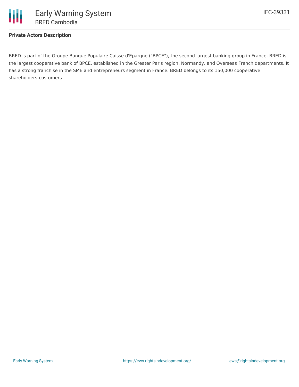### **Private Actors Description**

BRED is part of the Groupe Banque Populaire Caisse d'Epargne ("BPCE"), the second largest banking group in France. BRED is the largest cooperative bank of BPCE, established in the Greater Paris region, Normandy, and Overseas French departments. It has a strong franchise in the SME and entrepreneurs segment in France. BRED belongs to its 150,000 cooperative shareholders-customers .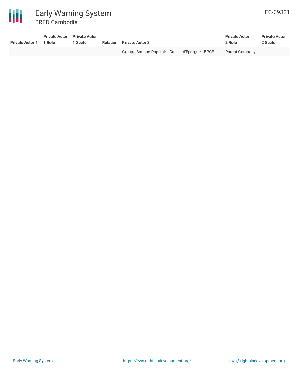

| <b>Private Actor 1</b> | <b>Private Actor</b> Private Actor<br>1 Role | 1 Sector |        | <b>Relation</b> Private Actor 2                 | <b>Private Actor</b><br>2 Role | <b>Private Actor</b><br>2 Sector |
|------------------------|----------------------------------------------|----------|--------|-------------------------------------------------|--------------------------------|----------------------------------|
| $\sim$                 |                                              |          | $\sim$ | Groupe Banque Populaire Caisse d'Epargne - BPCE | Parent Company                 |                                  |